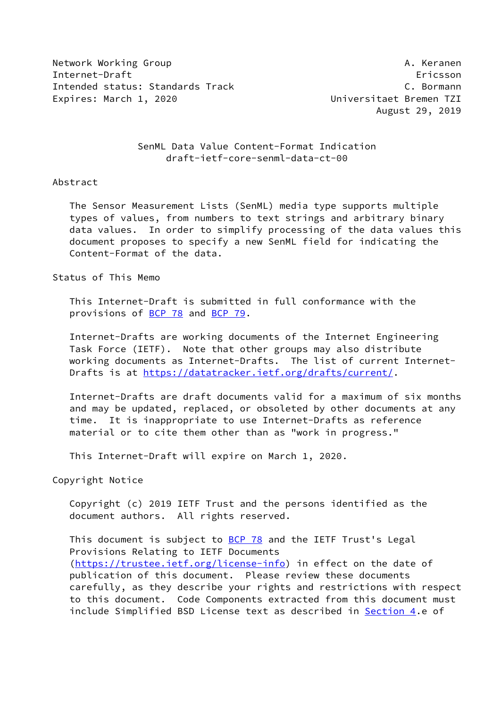Network Working Group **A. Keranen** Internet-Draft Ericsson Intended status: Standards Track C. Bormann Expires: March 1, 2020 **Expires: March 1, 2020** 

August 29, 2019

 SenML Data Value Content-Format Indication draft-ietf-core-senml-data-ct-00

## Abstract

 The Sensor Measurement Lists (SenML) media type supports multiple types of values, from numbers to text strings and arbitrary binary data values. In order to simplify processing of the data values this document proposes to specify a new SenML field for indicating the Content-Format of the data.

Status of This Memo

 This Internet-Draft is submitted in full conformance with the provisions of [BCP 78](https://datatracker.ietf.org/doc/pdf/bcp78) and [BCP 79](https://datatracker.ietf.org/doc/pdf/bcp79).

 Internet-Drafts are working documents of the Internet Engineering Task Force (IETF). Note that other groups may also distribute working documents as Internet-Drafts. The list of current Internet- Drafts is at<https://datatracker.ietf.org/drafts/current/>.

 Internet-Drafts are draft documents valid for a maximum of six months and may be updated, replaced, or obsoleted by other documents at any time. It is inappropriate to use Internet-Drafts as reference material or to cite them other than as "work in progress."

This Internet-Draft will expire on March 1, 2020.

Copyright Notice

 Copyright (c) 2019 IETF Trust and the persons identified as the document authors. All rights reserved.

This document is subject to **[BCP 78](https://datatracker.ietf.org/doc/pdf/bcp78)** and the IETF Trust's Legal Provisions Relating to IETF Documents [\(https://trustee.ietf.org/license-info](https://trustee.ietf.org/license-info)) in effect on the date of publication of this document. Please review these documents carefully, as they describe your rights and restrictions with respect to this document. Code Components extracted from this document must include Simplified BSD License text as described in [Section 4.](#page-3-0)e of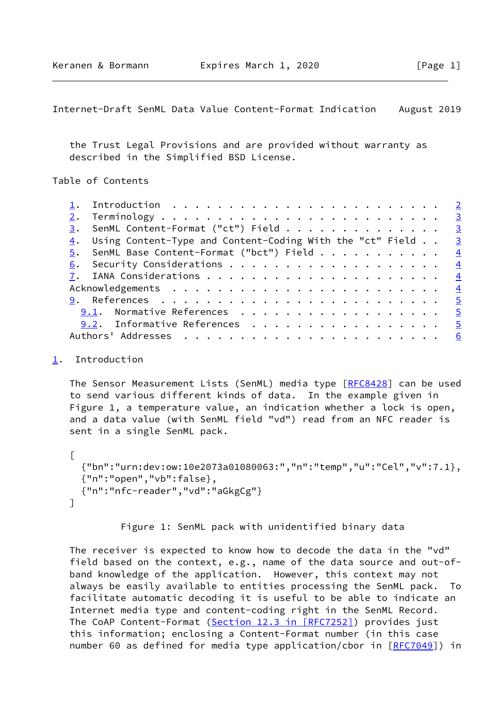<span id="page-1-1"></span>Internet-Draft SenML Data Value Content-Format Indication August 2019

 the Trust Legal Provisions and are provided without warranty as described in the Simplified BSD License.

Table of Contents

|  | $\underline{3}$ . SenML Content-Format ("ct") Field 3                       |  |
|--|-----------------------------------------------------------------------------|--|
|  | $\frac{4}{1}$ . Using Content-Type and Content-Coding With the "ct" Field 3 |  |
|  | $\overline{5}$ . SenML Base Content-Format ("bct") Field 4                  |  |
|  |                                                                             |  |
|  |                                                                             |  |
|  |                                                                             |  |
|  | <u> 9</u> . References <u>5</u>                                             |  |
|  | 9.1. Normative References 5                                                 |  |
|  | 9.2. Informative References 5                                               |  |
|  |                                                                             |  |
|  |                                                                             |  |

<span id="page-1-0"></span>[1](#page-1-0). Introduction

The Sensor Measurement Lists (SenML) media type [\[RFC8428](https://datatracker.ietf.org/doc/pdf/rfc8428)] can be used to send various different kinds of data. In the example given in Figure 1, a temperature value, an indication whether a lock is open, and a data value (with SenML field "vd") read from an NFC reader is sent in a single SenML pack.

```
\lceil {"bn":"urn:dev:ow:10e2073a01080063:","n":"temp","u":"Cel","v":7.1},
  {"n":"open","vb":false},
  {"n":"nfc-reader","vd":"aGkgCg"}
]
```
Figure 1: SenML pack with unidentified binary data

 The receiver is expected to know how to decode the data in the "vd" field based on the context, e.g., name of the data source and out-of band knowledge of the application. However, this context may not always be easily available to entities processing the SenML pack. To facilitate automatic decoding it is useful to be able to indicate an Internet media type and content-coding right in the SenML Record. The CoAP Content-Format (Section [12.3 in \[RFC7252\]](https://datatracker.ietf.org/doc/pdf/rfc7252#section-12.3)) provides just this information; enclosing a Content-Format number (in this case number 60 as defined for media type application/cbor in [\[RFC7049](https://datatracker.ietf.org/doc/pdf/rfc7049)]) in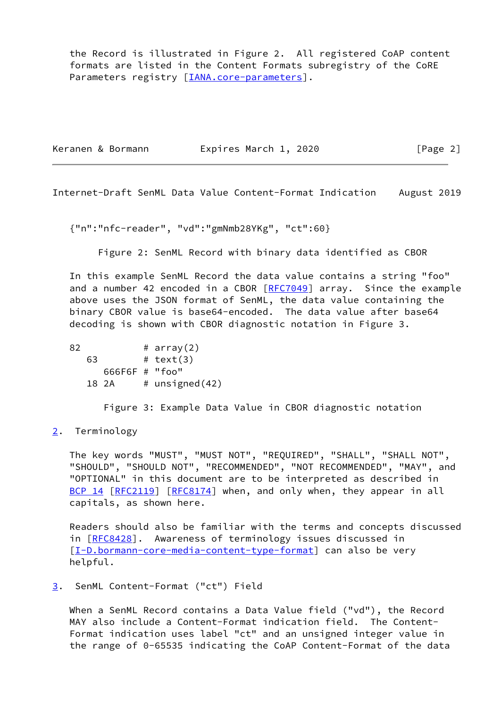the Record is illustrated in Figure 2. All registered CoAP content formats are listed in the Content Formats subregistry of the CoRE Parameters registry [\[IANA.core-parameters](#page-5-2)].

| Keranen & Bormann | Expires March 1, 2020 | [Page 2] |
|-------------------|-----------------------|----------|
|                   |                       |          |

<span id="page-2-1"></span>Internet-Draft SenML Data Value Content-Format Indication August 2019

{"n":"nfc-reader", "vd":"gmNmb28YKg", "ct":60}

Figure 2: SenML Record with binary data identified as CBOR

 In this example SenML Record the data value contains a string "foo" and a number 42 encoded in a CBOR [[RFC7049](https://datatracker.ietf.org/doc/pdf/rfc7049)] array. Since the example above uses the JSON format of SenML, the data value containing the binary CBOR value is base64-encoded. The data value after base64 decoding is shown with CBOR diagnostic notation in Figure 3.

 $82$  # array(2) 63 # text(3) 666F6F # "foo" 18 2A  $\#$  unsigned(42)

Figure 3: Example Data Value in CBOR diagnostic notation

## <span id="page-2-0"></span>[2](#page-2-0). Terminology

 The key words "MUST", "MUST NOT", "REQUIRED", "SHALL", "SHALL NOT", "SHOULD", "SHOULD NOT", "RECOMMENDED", "NOT RECOMMENDED", "MAY", and "OPTIONAL" in this document are to be interpreted as described in [BCP 14](https://datatracker.ietf.org/doc/pdf/bcp14) [\[RFC2119](https://datatracker.ietf.org/doc/pdf/rfc2119)] [\[RFC8174](https://datatracker.ietf.org/doc/pdf/rfc8174)] when, and only when, they appear in all capitals, as shown here.

 Readers should also be familiar with the terms and concepts discussed in [[RFC8428\]](https://datatracker.ietf.org/doc/pdf/rfc8428). Awareness of terminology issues discussed in [\[I-D.bormann-core-media-content-type-format\]](#page-5-3) can also be very helpful.

## <span id="page-2-2"></span>[3](#page-2-2). SenML Content-Format ("ct") Field

 When a SenML Record contains a Data Value field ("vd"), the Record MAY also include a Content-Format indication field. The Content- Format indication uses label "ct" and an unsigned integer value in the range of 0-65535 indicating the CoAP Content-Format of the data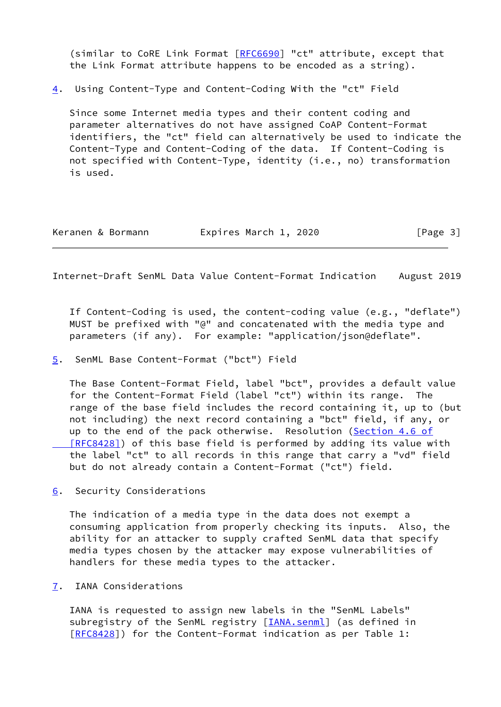(similar to CoRE Link Format [\[RFC6690](https://datatracker.ietf.org/doc/pdf/rfc6690)] "ct" attribute, except that the Link Format attribute happens to be encoded as a string).

<span id="page-3-0"></span>[4](#page-3-0). Using Content-Type and Content-Coding With the "ct" Field

 Since some Internet media types and their content coding and parameter alternatives do not have assigned CoAP Content-Format identifiers, the "ct" field can alternatively be used to indicate the Content-Type and Content-Coding of the data. If Content-Coding is not specified with Content-Type, identity (i.e., no) transformation is used.

| Expires March 1, 2020<br>Keranen & Bormann | [Page 3] |
|--------------------------------------------|----------|
|--------------------------------------------|----------|

<span id="page-3-2"></span>Internet-Draft SenML Data Value Content-Format Indication August 2019

 If Content-Coding is used, the content-coding value (e.g., "deflate") MUST be prefixed with "@" and concatenated with the media type and parameters (if any). For example: "application/json@deflate".

<span id="page-3-1"></span>[5](#page-3-1). SenML Base Content-Format ("bct") Field

 The Base Content-Format Field, label "bct", provides a default value for the Content-Format Field (label "ct") within its range. The range of the base field includes the record containing it, up to (but not including) the next record containing a "bct" field, if any, or up to the end of the pack otherwise. Resolution [\(Section](https://datatracker.ietf.org/doc/pdf/rfc8428#section-4.6) 4.6 of  [\[RFC8428\]](https://datatracker.ietf.org/doc/pdf/rfc8428#section-4.6)) of this base field is performed by adding its value with the label "ct" to all records in this range that carry a "vd" field but do not already contain a Content-Format ("ct") field.

<span id="page-3-3"></span>[6](#page-3-3). Security Considerations

 The indication of a media type in the data does not exempt a consuming application from properly checking its inputs. Also, the ability for an attacker to supply crafted SenML data that specify media types chosen by the attacker may expose vulnerabilities of handlers for these media types to the attacker.

<span id="page-3-4"></span>[7](#page-3-4). IANA Considerations

 IANA is requested to assign new labels in the "SenML Labels" subregistry of the SenML registry [*IANA.senml*] (as defined in [\[RFC8428](https://datatracker.ietf.org/doc/pdf/rfc8428)]) for the Content-Format indication as per Table 1: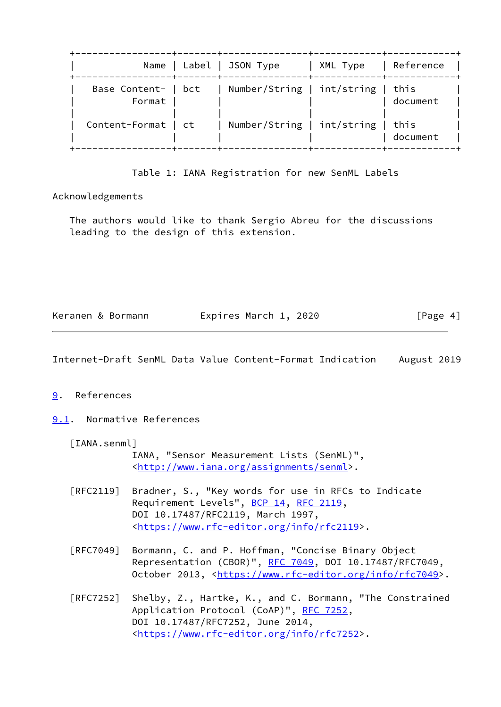|                               | Name   Label   JSON Type          | XML Type | Reference        |
|-------------------------------|-----------------------------------|----------|------------------|
| Base Content-   bct<br>Format | Number/String   int/string   this |          | document         |
| Content-Format   ct           | Number/String   int/string        |          | this<br>document |

Table 1: IANA Registration for new SenML Labels

Acknowledgements

 The authors would like to thank Sergio Abreu for the discussions leading to the design of this extension.

|  | Keranen & Bormann | Expires March 1, 2020 |  | [Page 4] |
|--|-------------------|-----------------------|--|----------|
|--|-------------------|-----------------------|--|----------|

<span id="page-4-1"></span>Internet-Draft SenML Data Value Content-Format Indication August 2019

## <span id="page-4-0"></span>[9](#page-4-0). References

<span id="page-4-2"></span>[9.1](#page-4-2). Normative References

<span id="page-4-3"></span>[IANA.senml]

 IANA, "Sensor Measurement Lists (SenML)", <[http://www.iana.org/assignments/senml>](http://www.iana.org/assignments/senml).

- [RFC2119] Bradner, S., "Key words for use in RFCs to Indicate Requirement Levels", [BCP 14](https://datatracker.ietf.org/doc/pdf/bcp14), [RFC 2119](https://datatracker.ietf.org/doc/pdf/rfc2119), DOI 10.17487/RFC2119, March 1997, <[https://www.rfc-editor.org/info/rfc2119>](https://www.rfc-editor.org/info/rfc2119).
- [RFC7049] Bormann, C. and P. Hoffman, "Concise Binary Object Representation (CBOR)", [RFC 7049,](https://datatracker.ietf.org/doc/pdf/rfc7049) DOI 10.17487/RFC7049, October 2013, [<https://www.rfc-editor.org/info/rfc7049](https://www.rfc-editor.org/info/rfc7049)>.
- [RFC7252] Shelby, Z., Hartke, K., and C. Bormann, "The Constrained Application Protocol (CoAP)", [RFC 7252](https://datatracker.ietf.org/doc/pdf/rfc7252), DOI 10.17487/RFC7252, June 2014, <[https://www.rfc-editor.org/info/rfc7252>](https://www.rfc-editor.org/info/rfc7252).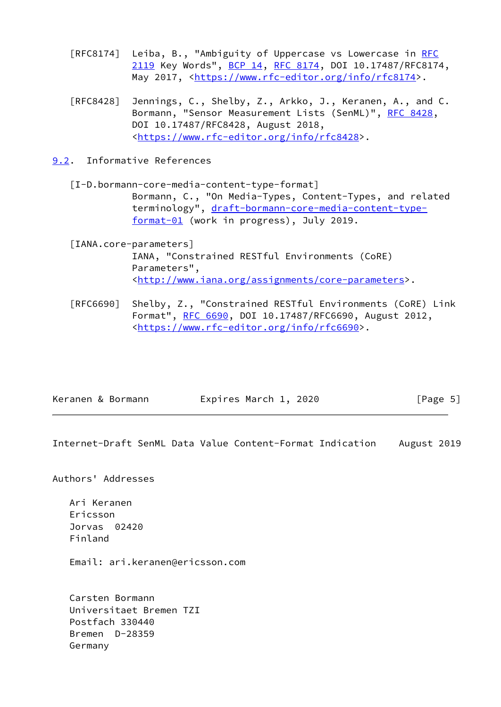- [RFC8174] Leiba, B., "Ambiguity of Uppercase vs Lowercase in [RFC](https://datatracker.ietf.org/doc/pdf/rfc2119) [2119](https://datatracker.ietf.org/doc/pdf/rfc2119) Key Words", [BCP 14](https://datatracker.ietf.org/doc/pdf/bcp14), [RFC 8174,](https://datatracker.ietf.org/doc/pdf/rfc8174) DOI 10.17487/RFC8174, May 2017, [<https://www.rfc-editor.org/info/rfc8174](https://www.rfc-editor.org/info/rfc8174)>.
- [RFC8428] Jennings, C., Shelby, Z., Arkko, J., Keranen, A., and C. Bormann, "Sensor Measurement Lists (SenML)", [RFC 8428](https://datatracker.ietf.org/doc/pdf/rfc8428), DOI 10.17487/RFC8428, August 2018, <[https://www.rfc-editor.org/info/rfc8428>](https://www.rfc-editor.org/info/rfc8428).
- <span id="page-5-0"></span>[9.2](#page-5-0). Informative References

<span id="page-5-3"></span> [I-D.bormann-core-media-content-type-format] Bormann, C., "On Media-Types, Content-Types, and related terminology", [draft-bormann-core-media-content-type](https://datatracker.ietf.org/doc/pdf/draft-bormann-core-media-content-type-format-01) [format-01](https://datatracker.ietf.org/doc/pdf/draft-bormann-core-media-content-type-format-01) (work in progress), July 2019.

<span id="page-5-2"></span> [IANA.core-parameters] IANA, "Constrained RESTful Environments (CoRE) Parameters", <[http://www.iana.org/assignments/core-parameters>](http://www.iana.org/assignments/core-parameters).

 [RFC6690] Shelby, Z., "Constrained RESTful Environments (CoRE) Link Format", [RFC 6690,](https://datatracker.ietf.org/doc/pdf/rfc6690) DOI 10.17487/RFC6690, August 2012, <[https://www.rfc-editor.org/info/rfc6690>](https://www.rfc-editor.org/info/rfc6690).

| Keranen & Bormann | Expires March 1, 2020 | [Page 5] |
|-------------------|-----------------------|----------|
|-------------------|-----------------------|----------|

<span id="page-5-1"></span>Internet-Draft SenML Data Value Content-Format Indication August 2019

Authors' Addresses

 Ari Keranen Ericsson Jorvas 02420 Finland

Email: ari.keranen@ericsson.com

 Carsten Bormann Universitaet Bremen TZI Postfach 330440 Bremen D-28359 Germany